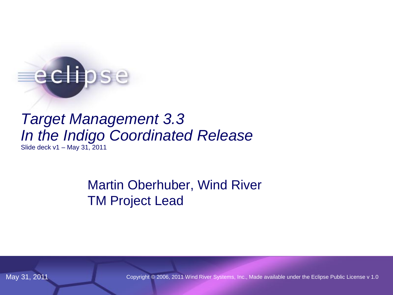# echose

# *Target Management 3.3 In the Indigo Coordinated Release*

Slide deck v1 – May 31, 2011

Martin Oberhuber, Wind River TM Project Lead

May 31, 2011 Copyright © 2006, 2011 Wind River Systems, Inc., Made available under the Eclipse Public License v 1.0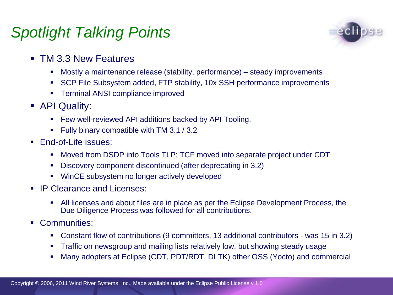# *Spotlight Talking Points*



- **TM 3.3 New Features** 
	- Mostly a maintenance release (stability, performance) steady improvements
	- SCP File Subsystem added, FTP stability, 10x SSH performance improvements
	- **F** Terminal ANSI compliance improved
- **API Quality:** 
	- **Few well-reviewed API additions backed by API Tooling.**
	- Fully binary compatible with TM 3.1 / 3.2
- **F**nd-of-Life issues:
	- Moved from DSDP into Tools TLP; TCF moved into separate project under CDT
	- Discovery component discontinued (after deprecating in 3.2)
	- WinCE subsystem no longer actively developed
- **IP Clearance and Licenses:** 
	- All licenses and about files are in place as per the Eclipse Development Process, the Due Diligence Process was followed for all contributions.
- Communities:
	- Constant flow of contributions (9 committers, 13 additional contributors was 15 in 3.2)
	- **Traffic on newsgroup and mailing lists relatively low, but showing steady usage**
	- Many adopters at Eclipse (CDT, PDT/RDT, DLTK) other OSS (Yocto) and commercial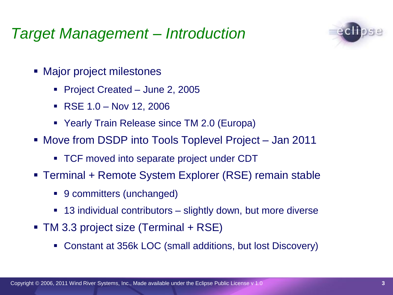# *Target Management – Introduction*



- Major project milestones
	- Project Created June 2, 2005
	- $\textsf{RSE} 1.0 \textsf{Nov} 12, 2006$
	- Yearly Train Release since TM 2.0 (Europa)
- Move from DSDP into Tools Toplevel Project Jan 2011
	- TCF moved into separate project under CDT
- Terminal + Remote System Explorer (RSE) remain stable
	- 9 committers (unchanged)
	- 13 individual contributors slightly down, but more diverse
- TM 3.3 project size (Terminal + RSE)
	- Constant at 356k LOC (small additions, but lost Discovery)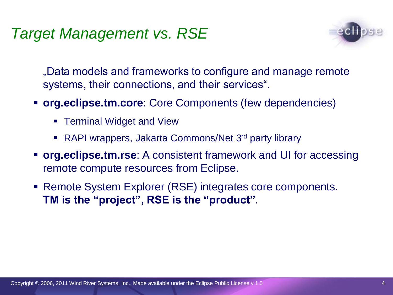# *Target Management vs. RSE*



"Data models and frameworks to configure and manage remote systems, their connections, and their services".

- **org.eclipse.tm.core**: Core Components (few dependencies)
	- **F** Terminal Widget and View
	- RAPI wrappers, Jakarta Commons/Net 3<sup>rd</sup> party library
- **org.eclipse.tm.rse**: A consistent framework and UI for accessing remote compute resources from Eclipse.
- Remote System Explorer (RSE) integrates core components. **TM is the "project", RSE is the "product"**.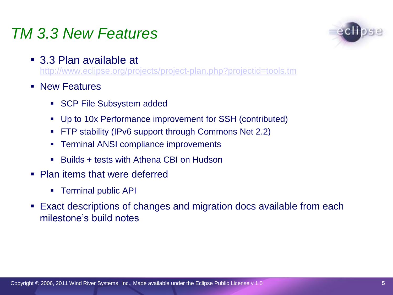# *TM 3.3 New Features*

- 
- 3.3 Plan available at <http://www.eclipse.org/projects/project-plan.php?projectid=tools.tm>
- **New Features** 
	- SCP File Subsystem added
	- Up to 10x Performance improvement for SSH (contributed)
	- FTP stability (IPv6 support through Commons Net 2.2)
	- Terminal ANSI compliance improvements
	- Builds + tests with Athena CBI on Hudson
- **Plan items that were deferred** 
	- Terminal public API
- Exact descriptions of changes and migration docs available from each milestone's build notes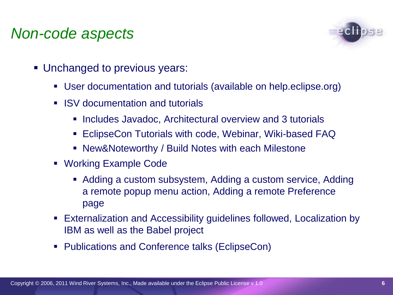# *Non-code aspects*



- Unchanged to previous years:
	- User documentation and tutorials (available on help.eclipse.org)
	- **ISV** documentation and tutorials
		- **Includes Javadoc, Architectural overview and 3 tutorials**
		- EclipseCon Tutorials with code, Webinar, Wiki-based FAQ
		- New&Noteworthy / Build Notes with each Milestone
	- Working Example Code
		- Adding a custom subsystem, Adding a custom service, Adding a remote popup menu action, Adding a remote Preference page
	- Externalization and Accessibility guidelines followed, Localization by IBM as well as the Babel project
	- Publications and Conference talks (EclipseCon)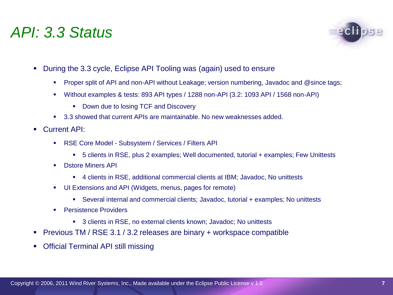#### *API: 3.3 Status*



- During the 3.3 cycle, Eclipse API Tooling was (again) used to ensure
	- Proper split of API and non-API without Leakage; version numbering, Javadoc and @since tags;
	- Without examples & tests: 893 API types / 1288 non-API (3.2: 1093 API / 1568 non-API)
		- Down due to losing TCF and Discovery
	- 3.3 showed that current APIs are maintainable. No new weaknesses added.
- **Current API:** 
	- **RSE Core Model Subsystem / Services / Filters API** 
		- 5 clients in RSE, plus 2 examples; Well documented, tutorial + examples; Few Unittests
	- **Distore Miners API** 
		- 4 clients in RSE, additional commercial clients at IBM; Javadoc, No unittests
	- UI Extensions and API (Widgets, menus, pages for remote)
		- Several internal and commercial clients; Javadoc, tutorial + examples; No unittests
	- **Persistence Providers** 
		- 3 clients in RSE, no external clients known; Javadoc; No unittests
- **Previous TM / RSE 3.1 / 3.2 releases are binary + workspace compatible**
- Official Terminal API still missing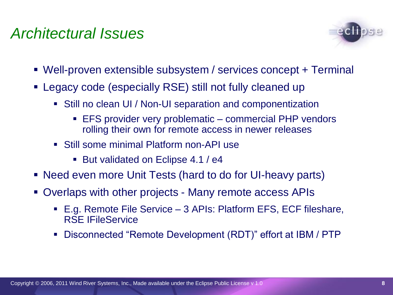# *Architectural Issues*



- Well-proven extensible subsystem / services concept + Terminal
- Legacy code (especially RSE) still not fully cleaned up
	- Still no clean UI / Non-UI separation and componentization
		- EFS provider very problematic commercial PHP vendors rolling their own for remote access in newer releases
	- Still some minimal Platform non-API use
		- But validated on Eclipse 4.1 / e4
- Need even more Unit Tests (hard to do for UI-heavy parts)
- Overlaps with other projects Many remote access APIs
	- E.g. Remote File Service 3 APIs: Platform EFS, ECF fileshare, RSE IFileService
	- Disconnected "Remote Development (RDT)" effort at IBM / PTP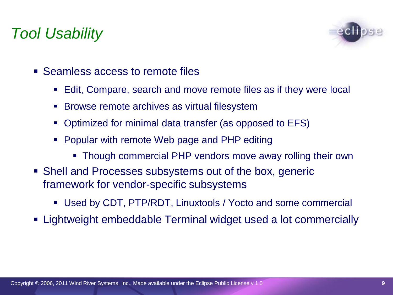# *Tool Usability*



- Seamless access to remote files
	- Edit, Compare, search and move remote files as if they were local
	- **Browse remote archives as virtual filesystem**
	- Optimized for minimal data transfer (as opposed to EFS)
	- Popular with remote Web page and PHP editing
		- Though commercial PHP vendors move away rolling their own
- Shell and Processes subsystems out of the box, generic framework for vendor-specific subsystems
	- Used by CDT, PTP/RDT, Linuxtools / Yocto and some commercial
- Lightweight embeddable Terminal widget used a lot commercially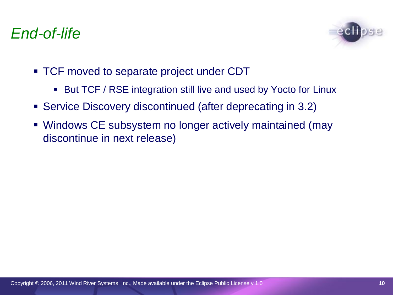# *End-of-life*



- TCF moved to separate project under CDT
	- But TCF / RSE integration still live and used by Yocto for Linux
- Service Discovery discontinued (after deprecating in 3.2)
- Windows CE subsystem no longer actively maintained (may discontinue in next release)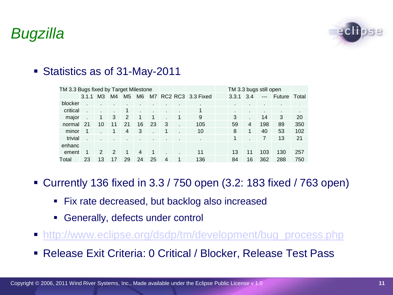*Bugzilla*



#### ■ Statistics as of 31-May-2011

| TM 3.3 Bugs fixed by Target Milestone |       |                |                |                |                |                |   |             |                   | TM 3.3 bugs still open |     |       |               |       |
|---------------------------------------|-------|----------------|----------------|----------------|----------------|----------------|---|-------------|-------------------|------------------------|-----|-------|---------------|-------|
|                                       | 3.1.1 | M <sub>3</sub> | M4             | M <sub>5</sub> | M6             | M7 I           |   |             | RC2 RC3 3.3 Fixed | 3.3.1                  | 3.4 | $---$ | <b>Future</b> | Total |
| blocker                               |       |                |                |                |                |                |   |             |                   |                        |     |       |               |       |
| critical                              |       |                |                | 1              |                |                |   |             |                   |                        |     |       | ٠             | ٠     |
| major                                 |       | -1             | 3              | 2              | 1              | 1              |   | 1           | 9                 | 3                      |     | 14    | 3             | 20    |
| normal                                | 21    | 10             | 11             | 21             | 16             | 23             | 3 |             | 105               | 59                     | 4   | 198   | 89            | 350   |
| minor                                 |       |                | 1              | 4              | 3              |                | 1 |             | 10                | 8                      | 1   | 40    | 53            | 102   |
| trivial                               |       |                |                |                |                | $\blacksquare$ |   | ٠           | ٠                 | 1                      |     | 7     | 13            | 21    |
| enhanc                                |       |                |                |                |                |                |   |             |                   |                        |     |       |               |       |
| ement                                 |       | 2              | $\overline{2}$ | 1              | $\overline{4}$ | $\mathbf{1}$   |   |             | 11                | 13                     | 11  | 103   | 130           | 257   |
| Total                                 | 23    | 13             | 17             | 29             | 24             | 25             | 4 | $\mathbf 1$ | 136               | 84                     | 16  | 362   | 288           | 750   |

- Currently 136 fixed in 3.3 / 750 open (3.2: 183 fixed / 763 open)
	- **Fix rate decreased, but backlog also increased**
	- Generally, defects under control
- **[http://www.eclipse.org/dsdp/tm/development/bug\\_process.](http://www.eclipse.org/org/press-release/20070403embedded.php)[php](http://www.eclipsecon.org/2007/index.php?page=sub/&id=3651)**
- Release Exit Criteria: 0 Critical / Blocker, Release Test Pass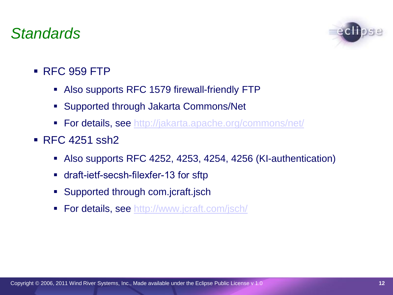# *Standards*



- RFC 959 FTP
	- Also supports RFC 1579 firewall-friendly FTP
	- Supported through Jakarta Commons/Net
	- **For details, see [http://jakarta.apache.org/commons/net/](http://live.eclipse.org/node/229)**
- **RFC 4251 ssh2** 
	- Also supports RFC 4252, 4253, 4254, 4256 (KI-authentication)
	- draft-ietf-secsh-filexfer-13 for sftp
	- **Supported through com.jcraft.jsch**
	- **For details, see [http://www.](http://wiki.eclipse.org/index.php/TM_Future_Planning)[jcraft](http://wiki.eclipse.org/index.php/TM_3.0_Testing)[.com/jsch/](http://www.eclipse.org/projects/project-plan.php?projectid=dsdp.tm)**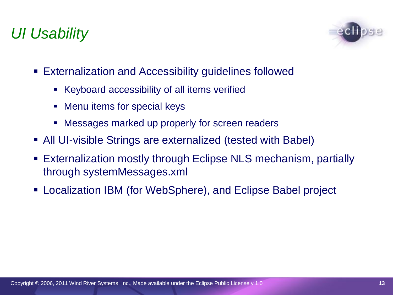# *UI Usability*



- Externalization and Accessibility guidelines followed
	- Keyboard accessibility of all items verified
	- Menu items for special keys
	- Messages marked up properly for screen readers
- All UI-visible Strings are externalized (tested with Babel)
- Externalization mostly through Eclipse NLS mechanism, partially through systemMessages.xml
- Localization IBM (for WebSphere), and Eclipse Babel project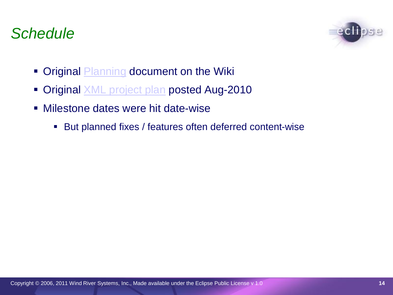# *Schedule*



- Original **Planning** document on the Wiki
- Original **XML** project plan posted Aug-2010
- Milestone dates were hit date-wise
	- But planned fixes / features often deferred content-wise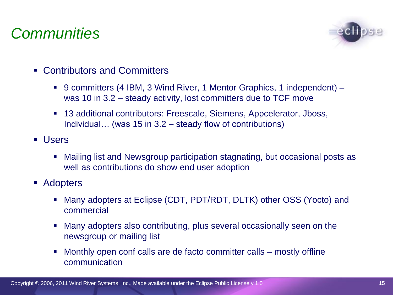# *Communities*



- Contributors and Committers
	- 9 committers (4 IBM, 3 Wind River, 1 Mentor Graphics, 1 independent) was 10 in 3.2 – steady activity, lost committers due to TCF move
	- 13 additional contributors: Freescale, Siemens, Appcelerator, Jboss, Individual… (was 15 in 3.2 – steady flow of contributions)
- Users
	- Mailing list and Newsgroup participation stagnating, but occasional posts as well as contributions do show end user adoption
- Adopters
	- Many adopters at Eclipse (CDT, PDT/RDT, DLTK) other OSS (Yocto) and commercial
	- Many adopters also contributing, plus several occasionally seen on the newsgroup or mailing list
	- Monthly open conf calls are de facto committer calls mostly offline communication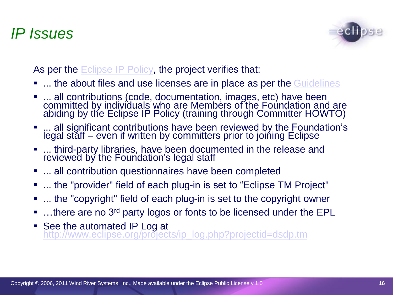#### *IP Issues*



As per the Eclipse IP Policy, the project verifies that:

- **.... the about files and use licenses are in place as per the Guidelines**
- ... all contributions (code, documentation, images, etc) have been committed by individuals who are Members of the Foundation and are abiding by the Eclipse IP Policy (training through Committer HOWTO)
- ... all significant contributions have been reviewed by the Foundation's legal stăff – even if written by committers prior to joining Eclipse
- **.... third-party libraries, have been documented in the release and** reviewed by the Foundation's legal staff
- **...** all contribution questionnaires have been completed
- ... the "provider" field of each plug-in is set to "Eclipse TM Project"
- ... the "copyright" field of each plug-in is set to the copyright owner
- …there are no 3<sup>rd</sup> party logos or fonts to be licensed under the EPL
- See the automated IP Log at http://www.eclipse.org/projects/ip\_log.php?projectid=dsdp.tm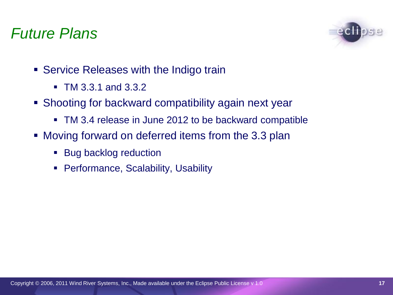#### *Future Plans*



- **Service Releases with the Indigo train** 
	- TM 3.3.1 and 3.3.2
- Shooting for backward compatibility again next year
	- TM 3.4 release in June 2012 to be backward compatible
- Moving forward on deferred items from the 3.3 plan
	- Bug backlog reduction
	- **Performance, Scalability, Usability**